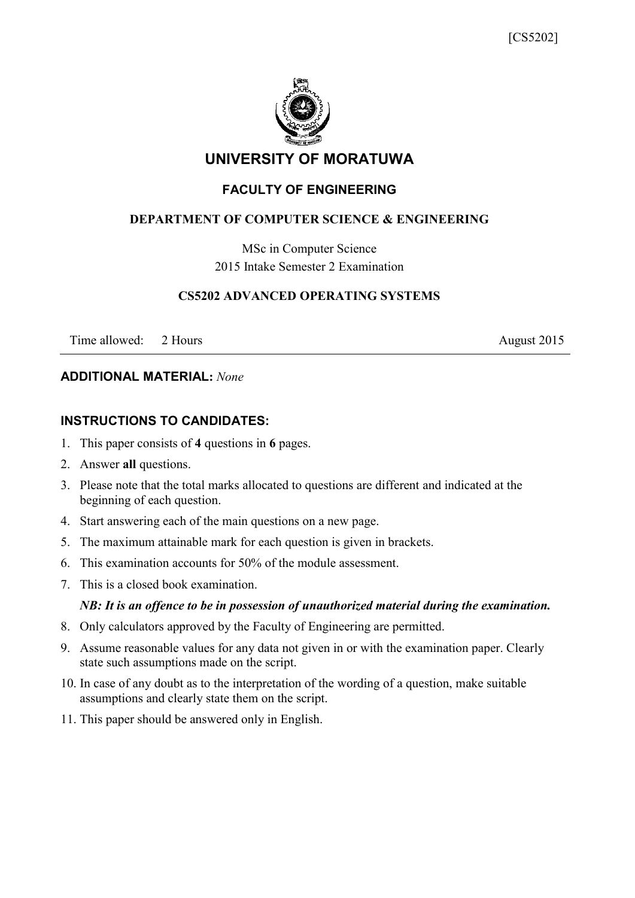

## **UNIVERSITY OF MORATUWA**

## **FACULTY OF ENGINEERING**

### **DEPARTMENT OF COMPUTER SCIENCE & ENGINEERING**

MSc in Computer Science 2015 Intake Semester 2 Examination

#### **CS5202 ADVANCED OPERATING SYSTEMS**

Time allowed: 2 Hours August 2015

#### **ADDITIONAL MATERIAL:** *None*

#### **INSTRUCTIONS TO CANDIDATES:**

- 1. This paper consists of **4** questions in **6** pages.
- 2. Answer **all** questions.
- 3. Please note that the total marks allocated to questions are different and indicated at the beginning of each question.
- 4. Start answering each of the main questions on a new page.
- 5. The maximum attainable mark for each question is given in brackets.
- 6. This examination accounts for 50% of the module assessment.
- 7. This is a closed book examination.

#### *NB: It is an offence to be in possession of unauthorized material during the examination.*

- 8. Only calculators approved by the Faculty of Engineering are permitted.
- 9. Assume reasonable values for any data not given in or with the examination paper. Clearly state such assumptions made on the script.
- 10. In case of any doubt as to the interpretation of the wording of a question, make suitable assumptions and clearly state them on the script.
- 11. This paper should be answered only in English.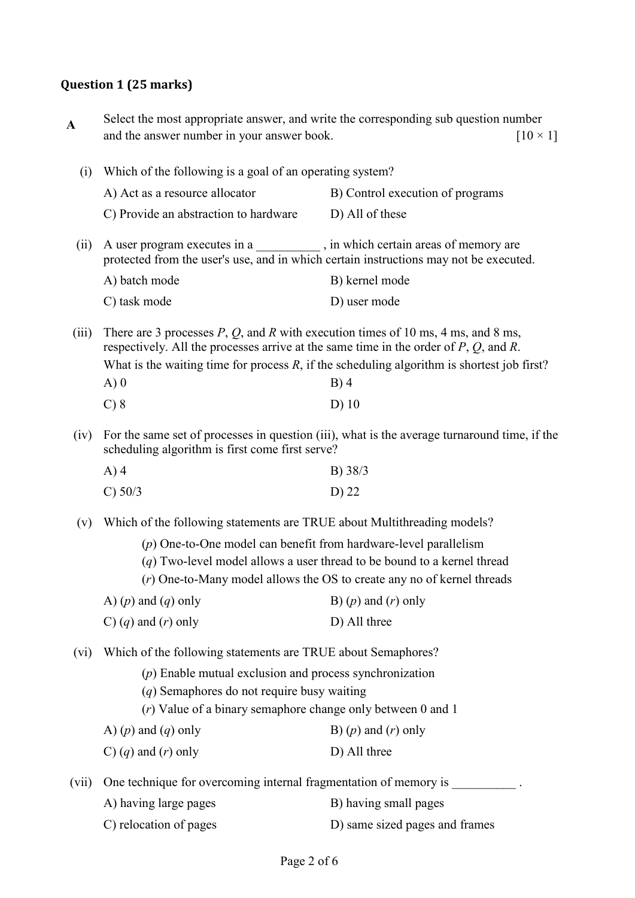# **Question 1 (25 marks)**

| $\mathbf A$ |                                                                                                                                                                                           | Select the most appropriate answer, and write the corresponding sub question number                     |  |
|-------------|-------------------------------------------------------------------------------------------------------------------------------------------------------------------------------------------|---------------------------------------------------------------------------------------------------------|--|
|             | and the answer number in your answer book.                                                                                                                                                | $[10 \times 1]$                                                                                         |  |
| (i)         | Which of the following is a goal of an operating system?                                                                                                                                  |                                                                                                         |  |
|             | A) Act as a resource allocator                                                                                                                                                            | B) Control execution of programs                                                                        |  |
|             | C) Provide an abstraction to hardware                                                                                                                                                     | D) All of these                                                                                         |  |
| (ii)        | A user program executes in a ___________, in which certain areas of memory are<br>protected from the user's use, and in which certain instructions may not be executed.                   |                                                                                                         |  |
|             | A) batch mode                                                                                                                                                                             | B) kernel mode                                                                                          |  |
|             | C) task mode                                                                                                                                                                              | D) user mode                                                                                            |  |
| (iii)       | There are 3 processes $P$ , $Q$ , and $R$ with execution times of 10 ms, 4 ms, and 8 ms,<br>respectively. All the processes arrive at the same time in the order of $P$ , $Q$ , and $R$ . |                                                                                                         |  |
|             | A)0                                                                                                                                                                                       | What is the waiting time for process $R$ , if the scheduling algorithm is shortest job first?<br>$B)$ 4 |  |
|             | $C$ ) $8$                                                                                                                                                                                 | $D)$ 10                                                                                                 |  |
| (iv)        | For the same set of processes in question (iii), what is the average turnaround time, if the<br>scheduling algorithm is first come first serve?                                           |                                                                                                         |  |
|             | $A)$ 4                                                                                                                                                                                    | B) 38/3                                                                                                 |  |
|             | C) 50/3                                                                                                                                                                                   | D) 22                                                                                                   |  |
| (v)         | Which of the following statements are TRUE about Multithreading models?                                                                                                                   |                                                                                                         |  |
|             | $(p)$ One-to-One model can benefit from hardware-level parallelism                                                                                                                        |                                                                                                         |  |
|             | $(q)$ Two-level model allows a user thread to be bound to a kernel thread                                                                                                                 |                                                                                                         |  |
|             |                                                                                                                                                                                           | $(r)$ One-to-Many model allows the OS to create any no of kernel threads                                |  |
|             | A) $(p)$ and $(q)$ only                                                                                                                                                                   | B) $(p)$ and $(r)$ only                                                                                 |  |
|             | C) $(q)$ and $(r)$ only                                                                                                                                                                   | D) All three                                                                                            |  |
| (vi)        | Which of the following statements are TRUE about Semaphores?                                                                                                                              |                                                                                                         |  |
|             | $(p)$ Enable mutual exclusion and process synchronization                                                                                                                                 |                                                                                                         |  |
|             | $(q)$ Semaphores do not require busy waiting                                                                                                                                              |                                                                                                         |  |
|             | $(r)$ Value of a binary semaphore change only between 0 and 1                                                                                                                             |                                                                                                         |  |
|             | A) $(p)$ and $(q)$ only                                                                                                                                                                   | B) $(p)$ and $(r)$ only                                                                                 |  |
|             | C) $(q)$ and $(r)$ only                                                                                                                                                                   | D) All three                                                                                            |  |
| (vii)       | One technique for overcoming internal fragmentation of memory is ___________.                                                                                                             |                                                                                                         |  |
|             | A) having large pages                                                                                                                                                                     | B) having small pages                                                                                   |  |
|             | C) relocation of pages                                                                                                                                                                    | D) same sized pages and frames                                                                          |  |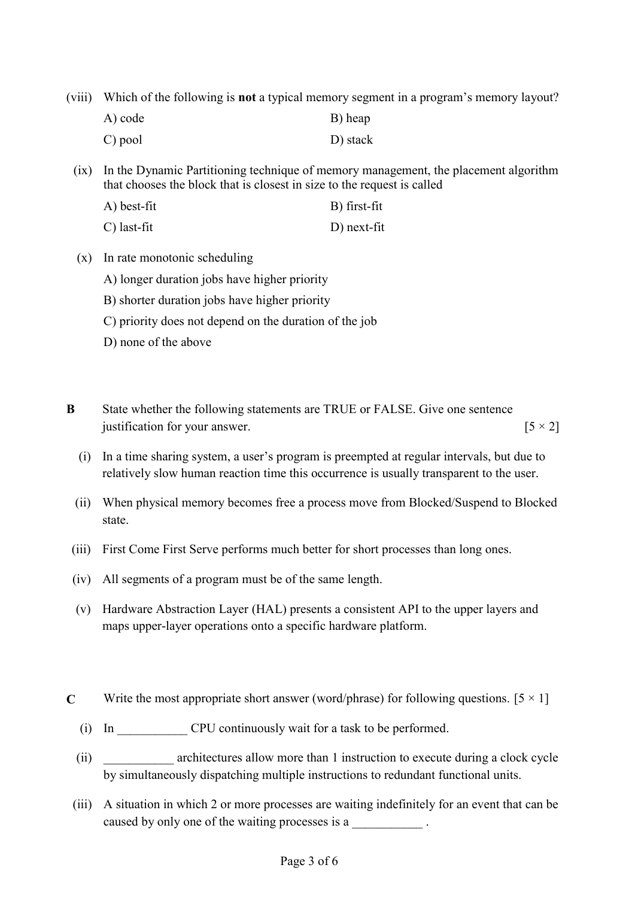(viii) Which of the following is **not** a typical memory segment in a program's memory layout?

| A) code | B) heap  |
|---------|----------|
| C) pool | D) stack |

(ix) In the Dynamic Partitioning technique of memory management, the placement algorithm that chooses the block that is closest in size to the request is called

- A) best-fit B) first-fit C) last-fit D) next-fit
- (x) In rate monotonic scheduling
	- A) longer duration jobs have higher priority
	- B) shorter duration jobs have higher priority
	- C) priority does not depend on the duration of the job
	- D) none of the above
- **B** State whether the following statements are TRUE or FALSE. Give one sentence justification for your answer.  $[5 \times 2]$ 
	- (i) In a time sharing system, a user's program is preempted at regular intervals, but due to relatively slow human reaction time this occurrence is usually transparent to the user.
	- (ii) When physical memory becomes free a process move from Blocked/Suspend to Blocked state.
- (iii) First Come First Serve performs much better for short processes than long ones.
- (iv) All segments of a program must be of the same length.
- (v) Hardware Abstraction Layer (HAL) presents a consistent API to the upper layers and maps upper-layer operations onto a specific hardware platform.
- **C** Write the most appropriate short answer (word/phrase) for following questions.  $[5 \times 1]$ 
	- (i) In CPU continuously wait for a task to be performed.
	- (ii) architectures allow more than 1 instruction to execute during a clock cycle by simultaneously dispatching multiple instructions to redundant functional units.
	- (iii) A situation in which 2 or more processes are waiting indefinitely for an event that can be caused by only one of the waiting processes is a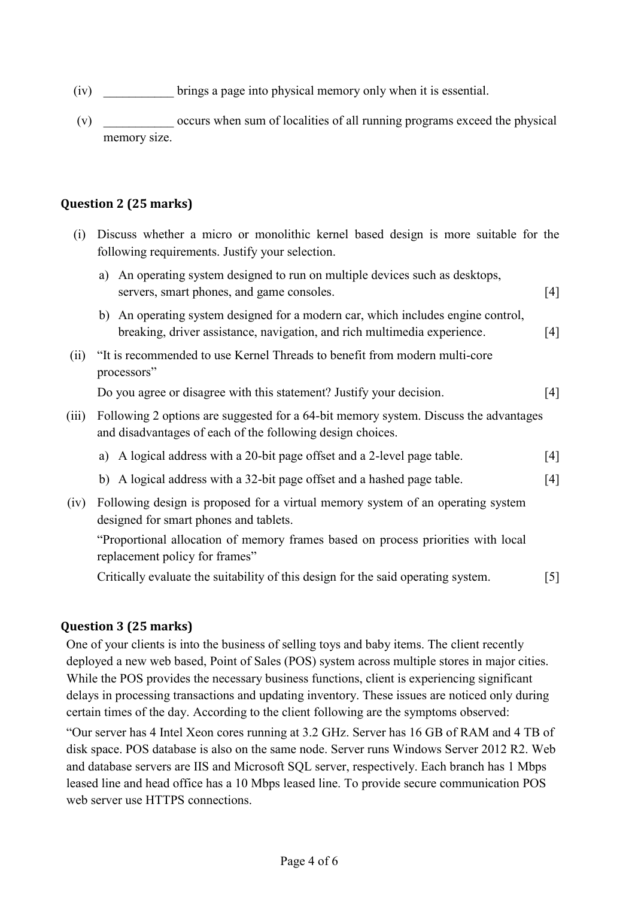- (iv) \_\_\_\_\_\_\_\_\_\_\_ brings a page into physical memory only when it is essential.
- (v) \_\_\_\_\_\_\_\_\_\_\_ occurs when sum of localities of all running programs exceed the physical memory size.

#### **Question 2 (25 marks)**

(i) Discuss whether a micro or monolithic kernel based design is more suitable for the following requirements. Justify your selection. a) An operating system designed to run on multiple devices such as desktops,

|       | a) All operating system designed to full on inditiple devices such as desktops,<br>servers, smart phones, and game consoles.                                 | $[4]$             |
|-------|--------------------------------------------------------------------------------------------------------------------------------------------------------------|-------------------|
|       | b) An operating system designed for a modern car, which includes engine control,<br>breaking, driver assistance, navigation, and rich multimedia experience. | $\lceil 4 \rceil$ |
| (ii)  | "It is recommended to use Kernel Threads to benefit from modern multi-core"<br>processors"                                                                   |                   |
|       | Do you agree or disagree with this statement? Justify your decision.                                                                                         | $\lceil 4 \rceil$ |
| (iii) | Following 2 options are suggested for a 64-bit memory system. Discuss the advantages<br>and disadvantages of each of the following design choices.           |                   |
|       | a) A logical address with a 20-bit page offset and a 2-level page table.                                                                                     | [4]               |
|       | b) A logical address with a 32-bit page offset and a hashed page table.                                                                                      | [4]               |
| (iv)  | Following design is proposed for a virtual memory system of an operating system<br>designed for smart phones and tablets.                                    |                   |
|       | "Proportional allocation of memory frames based on process priorities with local<br>replacement policy for frames"                                           |                   |

Critically evaluate the suitability of this design for the said operating system. [5]

#### **Question 3 (25 marks)**

One of your clients is into the business of selling toys and baby items. The client recently deployed a new web based, Point of Sales (POS) system across multiple stores in major cities. While the POS provides the necessary business functions, client is experiencing significant delays in processing transactions and updating inventory. These issues are noticed only during certain times of the day. According to the client following are the symptoms observed:

"Our server has 4 Intel Xeon cores running at 3.2 GHz. Server has 16 GB of RAM and 4 TB of disk space. POS database is also on the same node. Server runs Windows Server 2012 R2. Web and database servers are IIS and Microsoft SQL server, respectively. Each branch has 1 Mbps leased line and head office has a 10 Mbps leased line. To provide secure communication POS web server use HTTPS connections.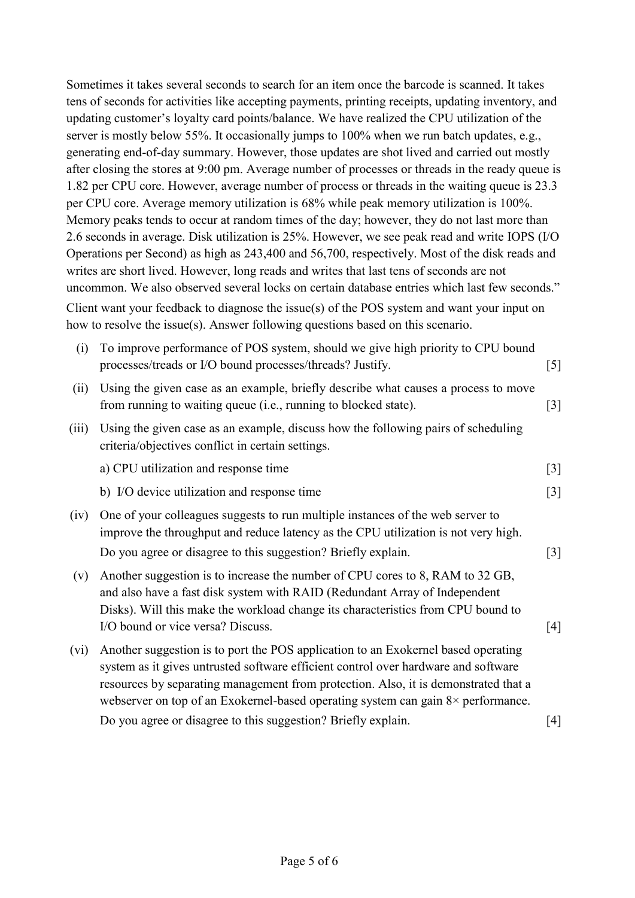Sometimes it takes several seconds to search for an item once the barcode is scanned. It takes tens of seconds for activities like accepting payments, printing receipts, updating inventory, and updating customer's loyalty card points/balance. We have realized the CPU utilization of the server is mostly below 55%. It occasionally jumps to 100% when we run batch updates, e.g., generating end-of-day summary. However, those updates are shot lived and carried out mostly after closing the stores at 9:00 pm. Average number of processes or threads in the ready queue is 1.82 per CPU core. However, average number of process or threads in the waiting queue is 23.3 per CPU core. Average memory utilization is 68% while peak memory utilization is 100%. Memory peaks tends to occur at random times of the day; however, they do not last more than 2.6 seconds in average. Disk utilization is 25%. However, we see peak read and write IOPS (I/O Operations per Second) as high as 243,400 and 56,700, respectively. Most of the disk reads and writes are short lived. However, long reads and writes that last tens of seconds are not uncommon. We also observed several locks on certain database entries which last few seconds." Client want your feedback to diagnose the issue(s) of the POS system and want your input on how to resolve the issue(s). Answer following questions based on this scenario.

| (i)   | To improve performance of POS system, should we give high priority to CPU bound<br>processes/treads or I/O bound processes/threads? Justify.                                                                                                                                                                                                              | $[5]$             |
|-------|-----------------------------------------------------------------------------------------------------------------------------------------------------------------------------------------------------------------------------------------------------------------------------------------------------------------------------------------------------------|-------------------|
| (ii)  | Using the given case as an example, briefly describe what causes a process to move<br>from running to waiting queue (i.e., running to blocked state).                                                                                                                                                                                                     | $\lceil 3 \rceil$ |
| (iii) | Using the given case as an example, discuss how the following pairs of scheduling<br>criteria/objectives conflict in certain settings.                                                                                                                                                                                                                    |                   |
|       | a) CPU utilization and response time                                                                                                                                                                                                                                                                                                                      | $\lceil 3 \rceil$ |
|       | b) I/O device utilization and response time                                                                                                                                                                                                                                                                                                               | $\lceil 3 \rceil$ |
| (iv)  | One of your colleagues suggests to run multiple instances of the web server to<br>improve the throughput and reduce latency as the CPU utilization is not very high.                                                                                                                                                                                      |                   |
|       | Do you agree or disagree to this suggestion? Briefly explain.                                                                                                                                                                                                                                                                                             | $[3]$             |
| (v)   | Another suggestion is to increase the number of CPU cores to 8, RAM to 32 GB,<br>and also have a fast disk system with RAID (Redundant Array of Independent<br>Disks). Will this make the workload change its characteristics from CPU bound to                                                                                                           |                   |
|       | I/O bound or vice versa? Discuss.                                                                                                                                                                                                                                                                                                                         | [4]               |
| (vi)  | Another suggestion is to port the POS application to an Exokernel based operating<br>system as it gives untrusted software efficient control over hardware and software<br>resources by separating management from protection. Also, it is demonstrated that a<br>webserver on top of an Exokernel-based operating system can gain $8\times$ performance. |                   |

Do you agree or disagree to this suggestion? Briefly explain. [4]